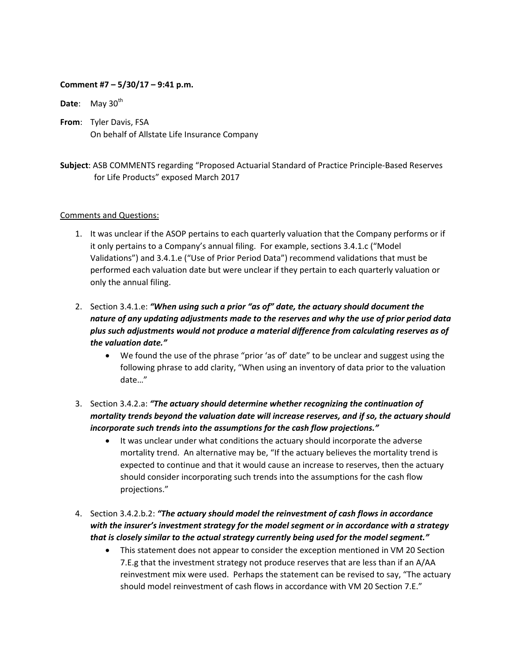## **Comment #7 – 5/30/17 – 9:41 p.m.**

**Date:** May 30<sup>th</sup>

**From**: Tyler Davis, FSA On behalf of Allstate Life Insurance Company

**Subject**: ASB COMMENTS regarding "Proposed Actuarial Standard of Practice Principle‐Based Reserves for Life Products" exposed March 2017

## Comments and Questions:

1. It was unclear if the ASOP pertains to each quarterly valuation that the Company performs or if it only pertains to a Company's annual filing. For example, sections 3.4.1.c ("Model Validations") and 3.4.1.e ("Use of Prior Period Data") recommend validations that must be performed each valuation date but were unclear if they pertain to each quarterly valuation or only the annual filing.

## 2. Section 3.4.1.e: *"When using such a prior "as of" date, the actuary should document the nature of any updating adjustments made to the reserves and why the use of prior period data plus such adjustments would not produce a material difference from calculating reserves as of the valuation date."*

- We found the use of the phrase "prior 'as of' date" to be unclear and suggest using the following phrase to add clarity, "When using an inventory of data prior to the valuation date…"
- 3. Section 3.4.2.a: *"The actuary should determine whether recognizing the continuation of mortality trends beyond the valuation date will increase reserves, and if so, the actuary should incorporate such trends into the assumptions for the cash flow projections."*
	- It was unclear under what conditions the actuary should incorporate the adverse mortality trend. An alternative may be, "If the actuary believes the mortality trend is expected to continue and that it would cause an increase to reserves, then the actuary should consider incorporating such trends into the assumptions for the cash flow projections."
- 4. Section 3.4.2.b.2: *"The actuary should model the reinvestment of cash flows in accordance with the insurer's investment strategy for the model segment or in accordance with a strategy that is closely similar to the actual strategy currently being used for the model segment."*
	- This statement does not appear to consider the exception mentioned in VM 20 Section 7.E.g that the investment strategy not produce reserves that are less than if an A/AA reinvestment mix were used. Perhaps the statement can be revised to say, "The actuary should model reinvestment of cash flows in accordance with VM 20 Section 7.E."